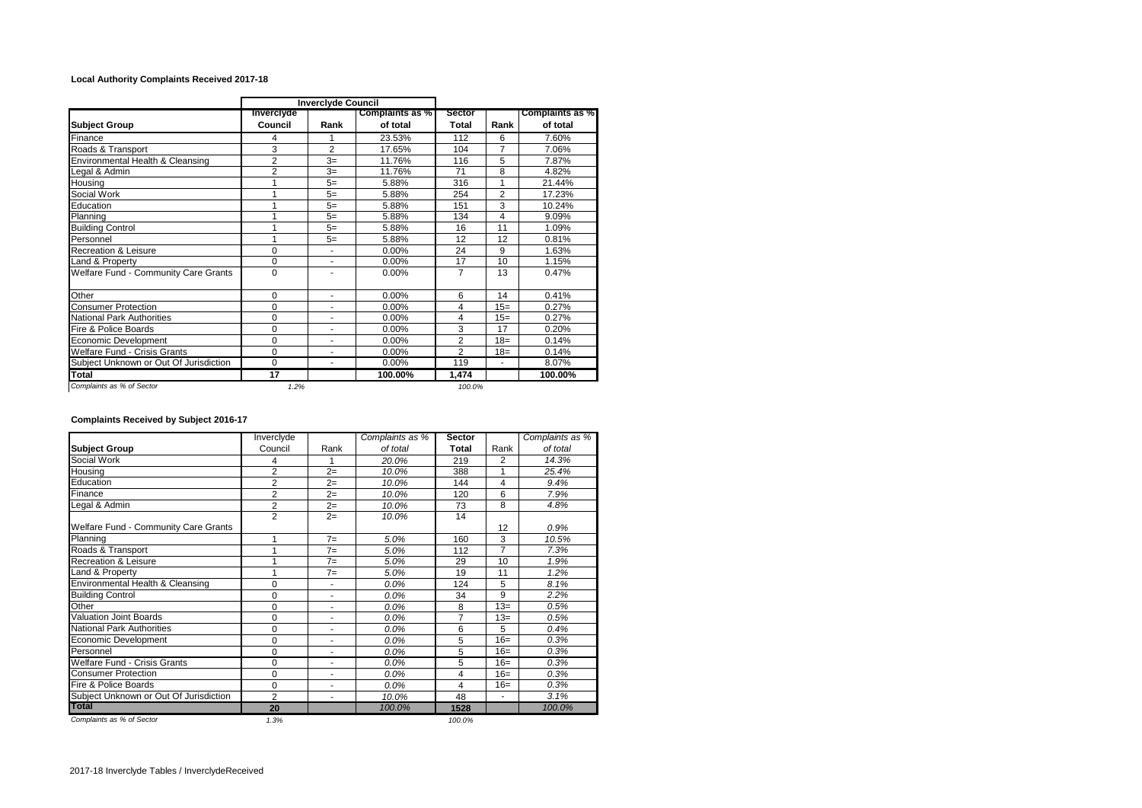## **Local Authority Complaints Received 2017-18**

|                                        | <b>Inverciyde Council</b> |                |                        |                |                |                 |
|----------------------------------------|---------------------------|----------------|------------------------|----------------|----------------|-----------------|
|                                        | Inverciyde                |                | <b>Complaints as %</b> | <b>Sector</b>  |                | Complaints as % |
| <b>Subject Group</b>                   | Council                   | Rank           | of total               | <b>Total</b>   | Rank           | of total        |
| Finance                                | 4                         |                | 23.53%                 | 112            | 6              | 7.60%           |
| Roads & Transport                      | 3                         | $\overline{2}$ | 17.65%                 | 104            | 7              | 7.06%           |
| Environmental Health & Cleansing       | $\overline{2}$            | $3=$           | 11.76%                 | 116            | 5              | 7.87%           |
| Legal & Admin                          | $\overline{2}$            | $3=$           | 11.76%                 | 71             | 8              | 4.82%           |
| Housing                                |                           | $5=$           | 5.88%                  | 316            | 1              | 21.44%          |
| Social Work                            |                           | $5=$           | 5.88%                  | 254            | $\overline{2}$ | 17.23%          |
| Education                              |                           | $5=$           | 5.88%                  | 151            | 3              | 10.24%          |
| Planning                               |                           | $5=$           | 5.88%                  | 134            | 4              | 9.09%           |
| <b>Building Control</b>                |                           | $5=$           | 5.88%                  | 16             | 11             | 1.09%           |
| Personnel                              |                           | $5=$           | 5.88%                  | 12             | 12             | 0.81%           |
| <b>Recreation &amp; Leisure</b>        | 0                         |                | 0.00%                  | 24             | 9              | 1.63%           |
| Land & Property                        | 0                         | ٠              | 0.00%                  | 17             | 10             | 1.15%           |
| Welfare Fund - Community Care Grants   | $\Omega$                  | ÷              | 0.00%                  | $\overline{7}$ | 13             | 0.47%           |
| Other                                  | $\Omega$                  | ٠              | 0.00%                  | 6              | 14             | 0.41%           |
| <b>Consumer Protection</b>             | $\Omega$                  | ٠              | 0.00%                  | 4              | $15=$          | 0.27%           |
| <b>National Park Authorities</b>       | 0                         | $\blacksquare$ | 0.00%                  | 4              | $15=$          | 0.27%           |
| Fire & Police Boards                   | 0                         | $\blacksquare$ | 0.00%                  | 3              | 17             | 0.20%           |
| Economic Development                   | 0                         | ٠              | 0.00%                  | $\overline{2}$ | $18=$          | 0.14%           |
| Welfare Fund - Crisis Grants           | 0                         |                | 0.00%                  | $\overline{2}$ | $18 =$         | 0.14%           |
| Subject Unknown or Out Of Jurisdiction | $\mathbf 0$               | ÷              | 0.00%                  | 119            | ٠              | 8.07%           |
| <b>Total</b>                           | 17                        |                | 100.00%                | 1,474          |                | 100.00%         |
| Complaints as % of Sector              | 1.2%                      |                |                        | 100.0%         |                |                 |

## **Complaints Received by Subject 2016-17**

|                                        | Inverclyde     |      | Complaints as % | <b>Sector</b> |                | Complaints as % |
|----------------------------------------|----------------|------|-----------------|---------------|----------------|-----------------|
| <b>Subject Group</b>                   | Council        | Rank | of total        | Total         | Rank           | of total        |
| Social Work                            | 4              |      | 20.0%           | 219           | $\overline{2}$ | 14.3%           |
| Housing                                | $\overline{2}$ | $2=$ | 10.0%           | 388           | 1              | 25.4%           |
| Education                              | $\overline{2}$ | $2=$ | 10.0%           | 144           | 4              | 9.4%            |
| Finance                                | $\overline{2}$ | $2=$ | 10.0%           | 120           | 6              | 7.9%            |
| Legal & Admin                          | $\overline{2}$ | $2=$ | 10.0%           | 73            | 8              | 4.8%            |
|                                        | $\overline{2}$ | $2=$ | 10.0%           | 14            |                |                 |
| Welfare Fund - Community Care Grants   |                |      |                 |               | 12             | 0.9%            |
| Planning                               |                | $7=$ | 5.0%            | 160           | 3              | 10.5%           |
| Roads & Transport                      |                | $7=$ | 5.0%            | 112           | $\overline{7}$ | 7.3%            |
| <b>Recreation &amp; Leisure</b>        |                | $7=$ | 5.0%            | 29            | 10             | 1.9%            |
| Land & Property                        |                | $7=$ | 5.0%            | 19            | 11             | 1.2%            |
| Environmental Health & Cleansing       | $\Omega$       | ä,   | $0.0\%$         | 124           | 5              | 8.1%            |
| <b>Building Control</b>                | 0              | ٠    | 0.0%            | 34            | 9              | 2.2%            |
| Other                                  | $\Omega$       | ٠    | $0.0\%$         | 8             | $13=$          | 0.5%            |
| <b>Valuation Joint Boards</b>          | $\Omega$       |      | 0.0%            | 7             | $13=$          | 0.5%            |
| <b>National Park Authorities</b>       | $\Omega$       |      | 0.0%            | 6             | 5              | 0.4%            |
| Economic Development                   | 0              |      | 0.0%            | 5             | $16=$          | 0.3%            |
| Personnel                              | $\Omega$       | ä,   | 0.0%            | 5             | $16=$          | 0.3%            |
| <b>Welfare Fund - Crisis Grants</b>    | $\mathbf 0$    | ٠    | 0.0%            | 5             | $16=$          | 0.3%            |
| <b>Consumer Protection</b>             | $\Omega$       | ٠    | 0.0%            | 4             | $16=$          | 0.3%            |
| Fire & Police Boards                   | 0              | ٠    | 0.0%            | 4             | $16=$          | 0.3%            |
| Subject Unknown or Out Of Jurisdiction | $\overline{2}$ |      | 10.0%           | 48            |                | 3.1%            |
| <b>Total</b>                           | 20             |      | 100.0%          | 1528          |                | 100.0%          |
| Complaints as % of Sector              | 1.3%           |      |                 | 100.0%        |                |                 |